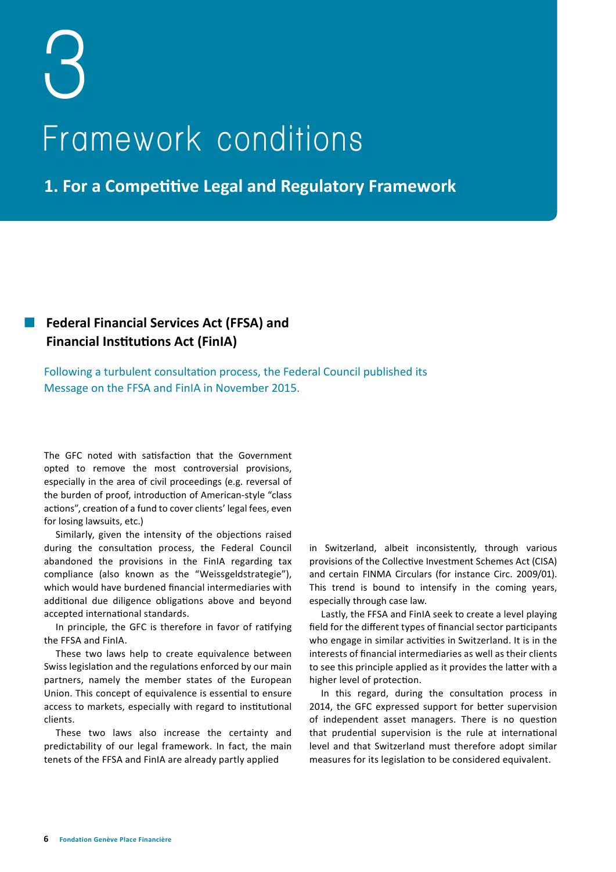# **3 Framework conditions**

**1. For a Competitive Legal and Regulatory Framework**

## **Federal Financial Services Act (FFSA) and Financial Institutions Act (FinIA)**

Following a turbulent consultation process, the Federal Council published its Message on the FFSA and FinIA in November 2015.

The GFC noted with satisfaction that the Government opted to remove the most controversial provisions, especially in the area of civil proceedings (e.g. reversal of the burden of proof, introduction of American-style "class actions", creation of a fund to cover clients' legal fees, even for losing lawsuits, etc.)

Similarly, given the intensity of the objections raised during the consultation process, the Federal Council abandoned the provisions in the FinIA regarding tax compliance (also known as the "Weissgeldstrategie"), which would have burdened financial intermediaries with additional due diligence obligations above and beyond accepted international standards.

In principle, the GFC is therefore in favor of ratifying the FFSA and FinIA.

These two laws help to create equivalence between Swiss legislation and the regulations enforced by our main partners, namely the member states of the European Union. This concept of equivalence is essential to ensure access to markets, especially with regard to institutional clients.

These two laws also increase the certainty and predictability of our legal framework. In fact, the main tenets of the FFSA and FinIA are already partly applied

in Switzerland, albeit inconsistently, through various provisions of the Collective Investment Schemes Act (CISA) and certain FINMA Circulars (for instance Circ. 2009/01). This trend is bound to intensify in the coming years, especially through case law.

Lastly, the FFSA and FinIA seek to create a level playing field for the different types of financial sector participants who engage in similar activities in Switzerland. It is in the interests of financial intermediaries as well as their clients to see this principle applied as it provides the latter with a higher level of protection.

In this regard, during the consultation process in 2014, the GFC expressed support for better supervision of independent asset managers. There is no question that prudential supervision is the rule at international level and that Switzerland must therefore adopt similar measures for its legislation to be considered equivalent.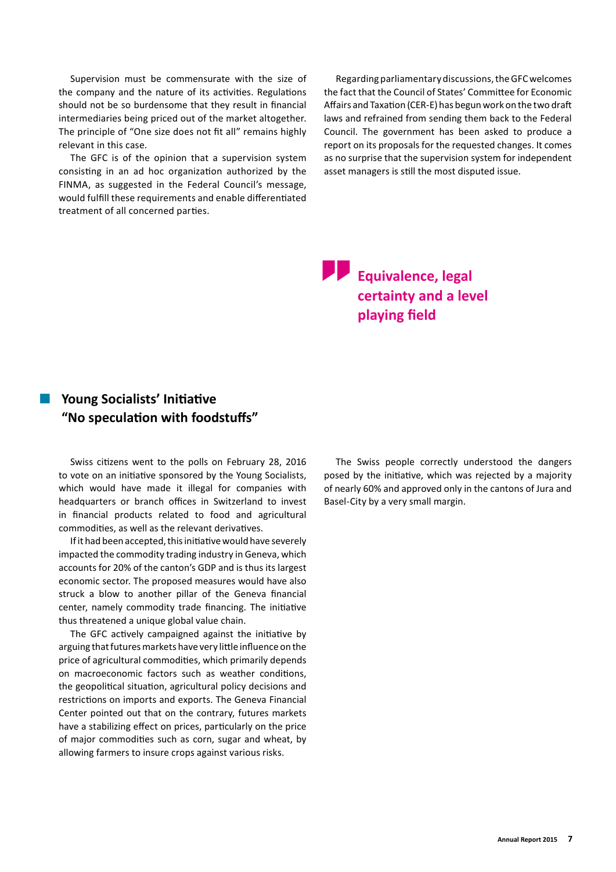Supervision must be commensurate with the size of the company and the nature of its activities. Regulations should not be so burdensome that they result in financial intermediaries being priced out of the market altogether. The principle of "One size does not fit all" remains highly relevant in this case.

The GFC is of the opinion that a supervision system consisting in an ad hoc organization authorized by the FINMA, as suggested in the Federal Council's message, would fulfill these requirements and enable differentiated treatment of all concerned parties.

Regarding parliamentary discussions, the GFC welcomes the fact that the Council of States' Committee for Economic Affairs and Taxation (CER-E) has begun work on the two draft laws and refrained from sending them back to the Federal Council. The government has been asked to produce a report on its proposals for the requested changes. It comes as no surprise that the supervision system for independent asset managers is still the most disputed issue.

# **Equivalence, legal certainty and a level playing field**

### **Young Socialists' Initiative "No speculation with foodstuffs"**

Swiss citizens went to the polls on February 28, 2016 to vote on an initiative sponsored by the Young Socialists, which would have made it illegal for companies with headquarters or branch offices in Switzerland to invest in financial products related to food and agricultural commodities, as well as the relevant derivatives.

If it had been accepted, this initiative would have severely impacted the commodity trading industry in Geneva, which accounts for 20% of the canton's GDP and is thus its largest economic sector. The proposed measures would have also struck a blow to another pillar of the Geneva financial center, namely commodity trade financing. The initiative thus threatened a unique global value chain.

The GFC actively campaigned against the initiative by arguing that futures markets have very little influence on the price of agricultural commodities, which primarily depends on macroeconomic factors such as weather conditions, the geopolitical situation, agricultural policy decisions and restrictions on imports and exports. The Geneva Financial Center pointed out that on the contrary, futures markets have a stabilizing effect on prices, particularly on the price of major commodities such as corn, sugar and wheat, by allowing farmers to insure crops against various risks.

The Swiss people correctly understood the dangers posed by the initiative, which was rejected by a majority of nearly 60% and approved only in the cantons of Jura and Basel-City by a very small margin.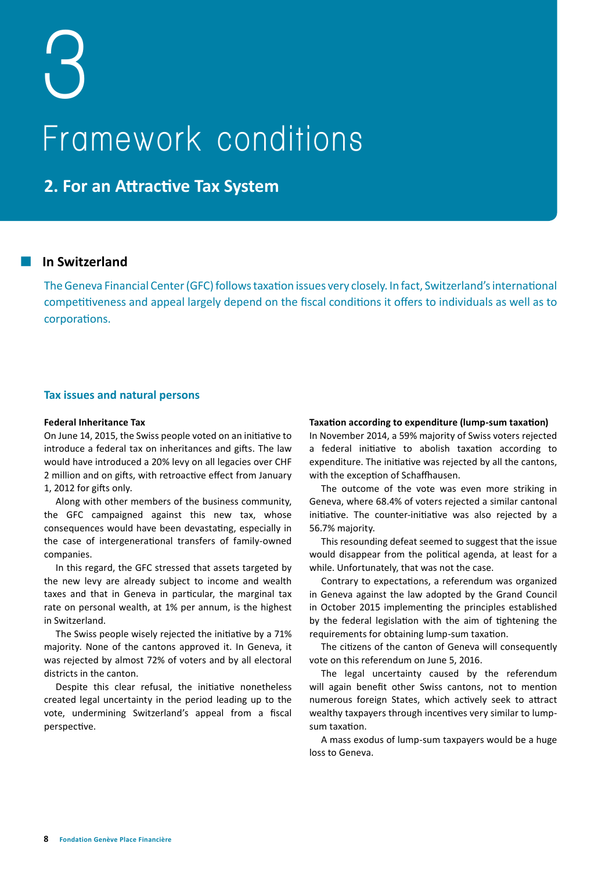**2. For an Attractive Tax System**

#### **In Switzerland**

The Geneva Financial Center (GFC) follows taxation issues very closely. In fact, Switzerland's international competitiveness and appeal largely depend on the fiscal conditions it offers to individuals as well as to corporations.

#### **Tax issues and natural persons**

#### **Federal Inheritance Tax**

On June 14, 2015, the Swiss people voted on an initiative to introduce a federal tax on inheritances and gifts. The law would have introduced a 20% levy on all legacies over CHF 2 million and on gifts, with retroactive effect from January 1, 2012 for gifts only.

Along with other members of the business community, the GFC campaigned against this new tax, whose consequences would have been devastating, especially in the case of intergenerational transfers of family-owned companies.

In this regard, the GFC stressed that assets targeted by the new levy are already subject to income and wealth taxes and that in Geneva in particular, the marginal tax rate on personal wealth, at 1% per annum, is the highest in Switzerland.

The Swiss people wisely rejected the initiative by a 71% majority. None of the cantons approved it. In Geneva, it was rejected by almost 72% of voters and by all electoral districts in the canton.

Despite this clear refusal, the initiative nonetheless created legal uncertainty in the period leading up to the vote, undermining Switzerland's appeal from a fiscal perspective.

#### **Taxation according to expenditure (lump-sum taxation)**

In November 2014, a 59% majority of Swiss voters rejected a federal initiative to abolish taxation according to expenditure. The initiative was rejected by all the cantons, with the exception of Schaffhausen.

The outcome of the vote was even more striking in Geneva, where 68.4% of voters rejected a similar cantonal initiative. The counter-initiative was also rejected by a 56.7% majority.

This resounding defeat seemed to suggest that the issue would disappear from the political agenda, at least for a while. Unfortunately, that was not the case.

Contrary to expectations, a referendum was organized in Geneva against the law adopted by the Grand Council in October 2015 implementing the principles established by the federal legislation with the aim of tightening the requirements for obtaining lump-sum taxation.

The citizens of the canton of Geneva will consequently vote on this referendum on June 5, 2016.

The legal uncertainty caused by the referendum will again benefit other Swiss cantons, not to mention numerous foreign States, which actively seek to attract wealthy taxpayers through incentives very similar to lumpsum taxation.

A mass exodus of lump-sum taxpayers would be a huge loss to Geneva.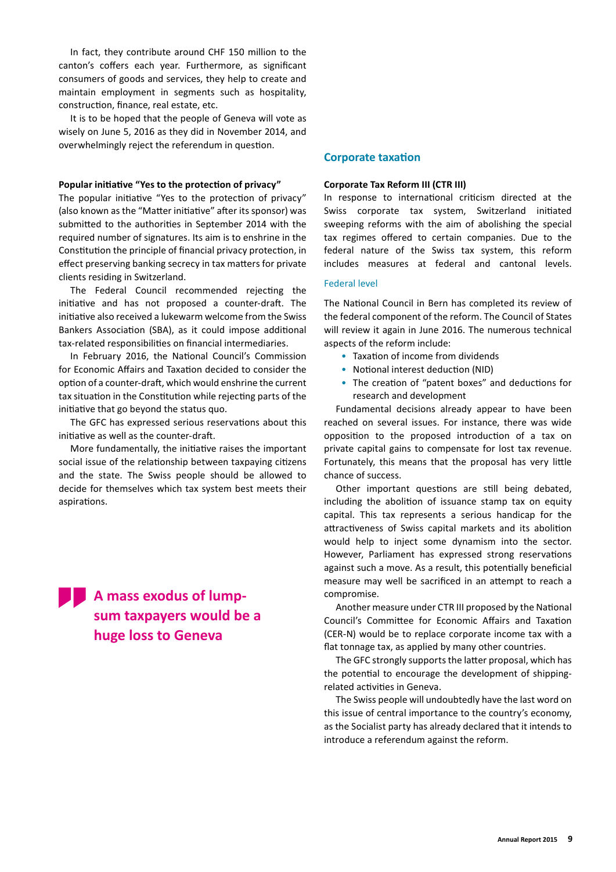In fact, they contribute around CHF 150 million to the canton's coffers each year. Furthermore, as significant consumers of goods and services, they help to create and maintain employment in segments such as hospitality, construction, finance, real estate, etc.

It is to be hoped that the people of Geneva will vote as wisely on June 5, 2016 as they did in November 2014, and overwhelmingly reject the referendum in question.

#### **Popular initiative "Yes to the protection of privacy"**

The popular initiative "Yes to the protection of privacy" (also known as the "Matter initiative" after its sponsor) was submitted to the authorities in September 2014 with the required number of signatures. Its aim is to enshrine in the Constitution the principle of financial privacy protection, in effect preserving banking secrecy in tax matters for private clients residing in Switzerland.

The Federal Council recommended rejecting the initiative and has not proposed a counter-draft. The initiative also received a lukewarm welcome from the Swiss Bankers Association (SBA), as it could impose additional tax-related responsibilities on financial intermediaries.

In February 2016, the National Council's Commission for Economic Affairs and Taxation decided to consider the option of a counter-draft, which would enshrine the current tax situation in the Constitution while rejecting parts of the initiative that go beyond the status quo.

The GFC has expressed serious reservations about this initiative as well as the counter-draft.

More fundamentally, the initiative raises the important social issue of the relationship between taxpaying citizens and the state. The Swiss people should be allowed to decide for themselves which tax system best meets their aspirations.

**A** mass exodus of lump**sum taxpayers would be a huge loss to Geneva**

#### **Corporate taxation**

#### **Corporate Tax Reform III (CTR III)**

In response to international criticism directed at the Swiss corporate tax system, Switzerland initiated sweeping reforms with the aim of abolishing the special tax regimes offered to certain companies. Due to the federal nature of the Swiss tax system, this reform includes measures at federal and cantonal levels.

#### Federal level

The National Council in Bern has completed its review of the federal component of the reform. The Council of States will review it again in June 2016. The numerous technical aspects of the reform include:

- Taxation of income from dividends
- Notional interest deduction (NID)
- The creation of "patent boxes" and deductions for research and development

Fundamental decisions already appear to have been reached on several issues. For instance, there was wide opposition to the proposed introduction of a tax on private capital gains to compensate for lost tax revenue. Fortunately, this means that the proposal has very little chance of success.

Other important questions are still being debated, including the abolition of issuance stamp tax on equity capital. This tax represents a serious handicap for the attractiveness of Swiss capital markets and its abolition would help to inject some dynamism into the sector. However, Parliament has expressed strong reservations against such a move. As a result, this potentially beneficial measure may well be sacrificed in an attempt to reach a compromise.

Another measure under CTR III proposed by the National Council's Committee for Economic Affairs and Taxation (CER-N) would be to replace corporate income tax with a flat tonnage tax, as applied by many other countries.

The GFC strongly supports the latter proposal, which has the potential to encourage the development of shippingrelated activities in Geneva.

The Swiss people will undoubtedly have the last word on this issue of central importance to the country's economy, as the Socialist party has already declared that it intends to introduce a referendum against the reform.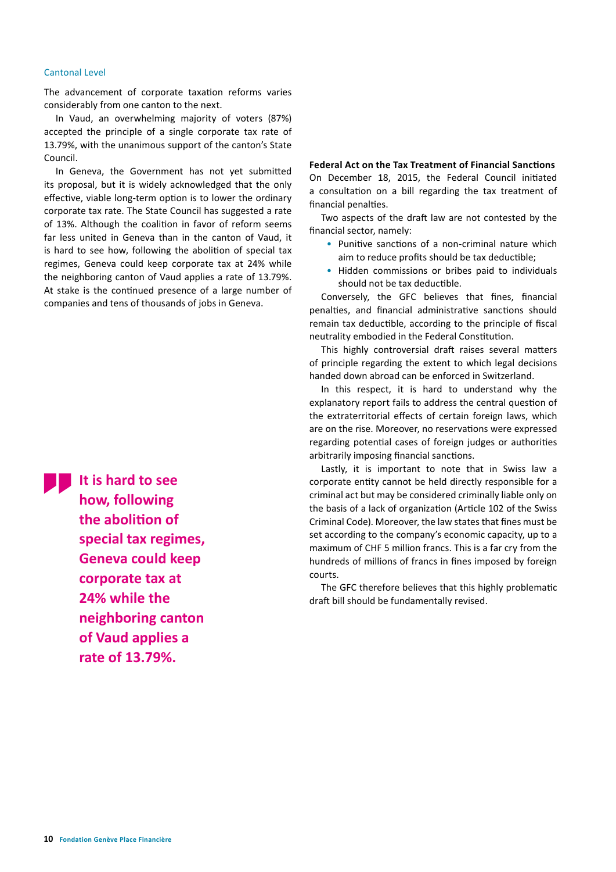#### Cantonal Level

The advancement of corporate taxation reforms varies considerably from one canton to the next.

In Vaud, an overwhelming majority of voters (87%) accepted the principle of a single corporate tax rate of 13.79%, with the unanimous support of the canton's State Council.

In Geneva, the Government has not yet submitted its proposal, but it is widely acknowledged that the only effective, viable long-term option is to lower the ordinary corporate tax rate. The State Council has suggested a rate of 13%. Although the coalition in favor of reform seems far less united in Geneva than in the canton of Vaud, it is hard to see how, following the abolition of special tax regimes, Geneva could keep corporate tax at 24% while the neighboring canton of Vaud applies a rate of 13.79%. At stake is the continued presence of a large number of companies and tens of thousands of jobs in Geneva.

**It is hard to see how, following the abolition of special tax regimes, Geneva could keep corporate tax at 24% while the neighboring canton of Vaud applies a rate of 13.79%.** 

**Federal Act on the Tax Treatment of Financial Sanctions** On December 18, 2015, the Federal Council initiated a consultation on a bill regarding the tax treatment of financial penalties.

Two aspects of the draft law are not contested by the financial sector, namely:

- Punitive sanctions of a non-criminal nature which aim to reduce profits should be tax deductible;
- Hidden commissions or bribes paid to individuals should not be tax deductible.

Conversely, the GFC believes that fines, financial penalties, and financial administrative sanctions should remain tax deductible, according to the principle of fiscal neutrality embodied in the Federal Constitution.

This highly controversial draft raises several matters of principle regarding the extent to which legal decisions handed down abroad can be enforced in Switzerland.

In this respect, it is hard to understand why the explanatory report fails to address the central question of the extraterritorial effects of certain foreign laws, which are on the rise. Moreover, no reservations were expressed regarding potential cases of foreign judges or authorities arbitrarily imposing financial sanctions.

Lastly, it is important to note that in Swiss law a corporate entity cannot be held directly responsible for a criminal act but may be considered criminally liable only on the basis of a lack of organization (Article 102 of the Swiss Criminal Code). Moreover, the law states that fines must be set according to the company's economic capacity, up to a maximum of CHF 5 million francs. This is a far cry from the hundreds of millions of francs in fines imposed by foreign courts.

The GFC therefore believes that this highly problematic draft bill should be fundamentally revised.